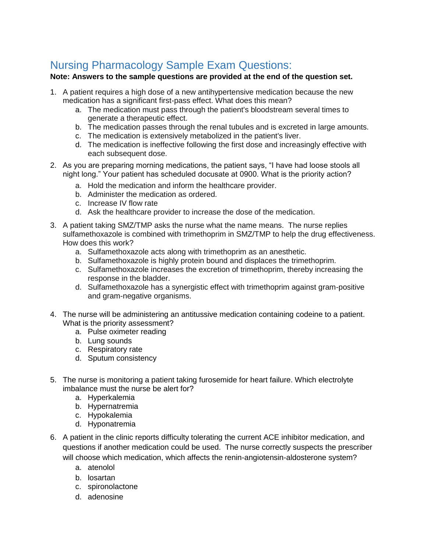## Nursing Pharmacology Sample Exam Questions:

## **Note: Answers to the sample questions are provided at the end of the question set.**

- 1. A patient requires a high dose of a new antihypertensive medication because the new medication has a significant first-pass effect. What does this mean?
	- a. The medication must pass through the patient's bloodstream several times to generate a therapeutic effect.
	- b. The medication passes through the renal tubules and is excreted in large amounts.
	- c. The medication is extensively metabolized in the patient's liver.
	- d. The medication is ineffective following the first dose and increasingly effective with each subsequent dose.
- 2. As you are preparing morning medications, the patient says, "I have had loose stools all night long." Your patient has scheduled docusate at 0900. What is the priority action?
	- a. Hold the medication and inform the healthcare provider.
	- b. Administer the medication as ordered.
	- c. Increase IV flow rate
	- d. Ask the healthcare provider to increase the dose of the medication.
- 3. A patient taking SMZ/TMP asks the nurse what the name means. The nurse replies sulfamethoxazole is combined with trimethoprim in SMZ/TMP to help the drug effectiveness. How does this work?
	- a. Sulfamethoxazole acts along with trimethoprim as an anesthetic.
	- b. Sulfamethoxazole is highly protein bound and displaces the trimethoprim.
	- c. Sulfamethoxazole increases the excretion of trimethoprim, thereby increasing the response in the bladder.
	- d. Sulfamethoxazole has a synergistic effect with trimethoprim against gram-positive and gram-negative organisms.
- 4. The nurse will be administering an antitussive medication containing codeine to a patient. What is the priority assessment?
	- a. Pulse oximeter reading
	- b. Lung sounds
	- c. Respiratory rate
	- d. Sputum consistency
- 5. The nurse is monitoring a patient taking furosemide for heart failure. Which electrolyte imbalance must the nurse be alert for?
	- a. Hyperkalemia
	- b. Hypernatremia
	- c. Hypokalemia
	- d. Hyponatremia
- 6. A patient in the clinic reports difficulty tolerating the current ACE inhibitor medication, and questions if another medication could be used. The nurse correctly suspects the prescriber will choose which medication, which affects the renin-angiotensin-aldosterone system?
	- a. atenolol
	- b. losartan
	- c. spironolactone
	- d. adenosine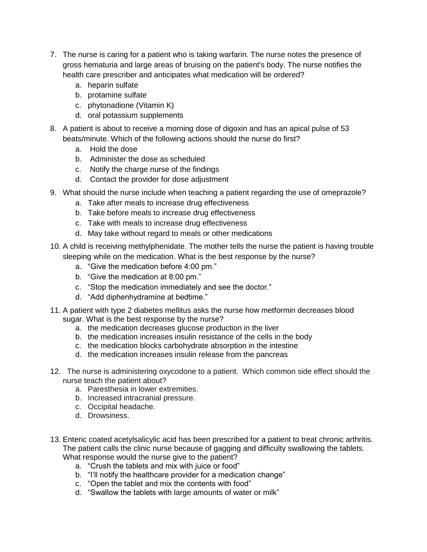- 7. The nurse is caring for a patient who is taking warfarin. The nurse notes the presence of gross hematuria and large areas of bruising on the patient's body. The nurse notifies the health care prescriber and anticipates what medication will be ordered?
	- a. heparin sulfate
	- b. protamine sulfate
	- c. phytonadione (Vitamin K)
	- d. oral potassium supplements
- 8. A patient is about to receive a morning dose of digoxin and has an apical pulse of 53 beats/minute. Which of the following actions should the nurse do first?
	- a. Hold the dose
	- b. Administer the dose as scheduled
	- c. Notify the charge nurse of the findings
	- d. Contact the provider for dose adjustment
- 9. What should the nurse include when teaching a patient regarding the use of omeprazole?
	- a. Take after meals to increase drug effectiveness
	- b. Take before meals to increase drug effectiveness
	- c. Take with meals to increase drug effectiveness
	- d. May take without regard to meals or other medications
- 10. A child is receiving methylphenidate. The mother tells the nurse the patient is having trouble sleeping while on the medication. What is the best response by the nurse?
	- a. "Give the medication before 4:00 pm."
	- b. "Give the medication at 8:00 pm."
	- c. "Stop the medication immediately and see the doctor."
	- d. "Add diphenhydramine at bedtime."
- 11. A patient with type 2 diabetes mellitus asks the nurse how metformin decreases blood sugar. What is the best response by the nurse?
	- a. the medication decreases glucose production in the liver
	- b. the medication increases insulin resistance of the cells in the body
	- c. the medication blocks carbohydrate absorption in the intestine
	- d. the medication increases insulin release from the pancreas
- 12. The nurse is administering oxycodone to a patient. Which common side effect should the nurse teach the patient about?
	- a. Paresthesia in lower extremities.
	- b. Increased intracranial pressure.
	- c. Occipital headache.
	- d. Drowsiness.
- 13. Enteric coated acetylsalicylic acid has been prescribed for a patient to treat chronic arthritis. The patient calls the clinic nurse because of gagging and difficulty swallowing the tablets. What response would the nurse give to the patient?
	- a. "Crush the tablets and mix with juice or food"
	- b. "I'll notify the healthcare provider for a medication change"
	- c. "Open the tablet and mix the contents with food"
	- d. "Swallow the tablets with large amounts of water or milk"